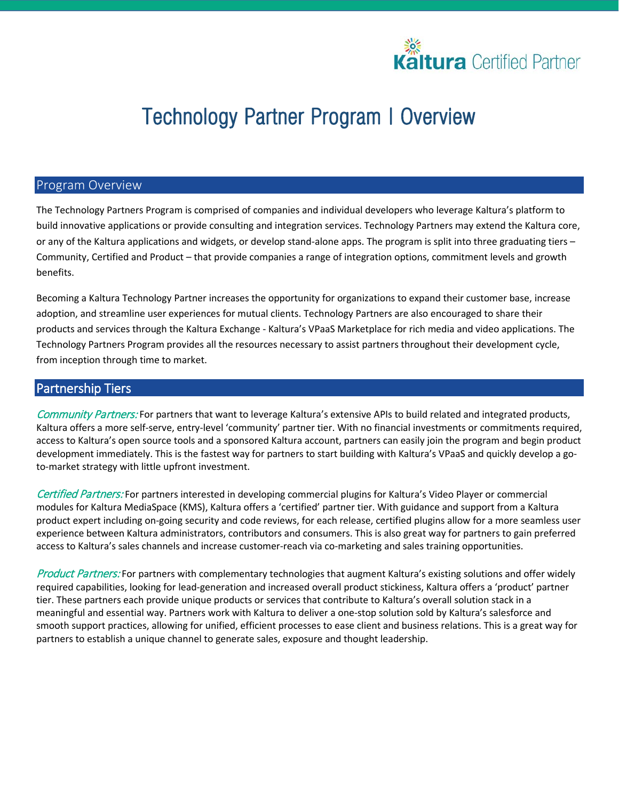

# **Technology Partner Program I Overview**

### Program Overview

The Technology Partners Program is comprised of companies and individual developers who leverage Kaltura's platform to build innovative applications or provide consulting and integration services. Technology Partners may extend the Kaltura core, or any of the Kaltura applications and widgets, or develop stand-alone apps. The program is split into three graduating tiers – Community, Certified and Product – that provide companies a range of integration options, commitment levels and growth benefits.

Becoming a Kaltura Technology Partner increases the opportunity for organizations to expand their customer base, increase adoption, and streamline user experiences for mutual clients. Technology Partners are also encouraged to share their products and services through the Kaltura Exchange - Kaltura's VPaaS Marketplace for rich media and video applications. The Technology Partners Program provides all the resources necessary to assist partners throughout their development cycle, from inception through time to market.

### Partnership Tiers

Community Partners: For partners that want to leverage Kaltura's extensive APIs to build related and integrated products, Kaltura offers a more self-serve, entry-level 'community' partner tier. With no financial investments or commitments required, access to Kaltura's open source tools and a sponsored Kaltura account, partners can easily join the program and begin product development immediately. This is the fastest way for partners to start building with Kaltura's VPaaS and quickly develop a goto-market strategy with little upfront investment.

Certified Partners: For partners interested in developing commercial plugins for Kaltura's Video Player or commercial modules for Kaltura MediaSpace (KMS), Kaltura offers a 'certified' partner tier. With guidance and support from a Kaltura product expert including on-going security and code reviews, for each release, certified plugins allow for a more seamless user experience between Kaltura administrators, contributors and consumers. This is also great way for partners to gain preferred access to Kaltura's sales channels and increase customer-reach via co-marketing and sales training opportunities.

Product Partners: For partners with complementary technologies that augment Kaltura's existing solutions and offer widely required capabilities, looking for lead-generation and increased overall product stickiness, Kaltura offers a 'product' partner tier. These partners each provide unique products or services that contribute to Kaltura's overall solution stack in a meaningful and essential way. Partners work with Kaltura to deliver a one-stop solution sold by Kaltura's salesforce and smooth support practices, allowing for unified, efficient processes to ease client and business relations. This is a great way for partners to establish a unique channel to generate sales, exposure and thought leadership.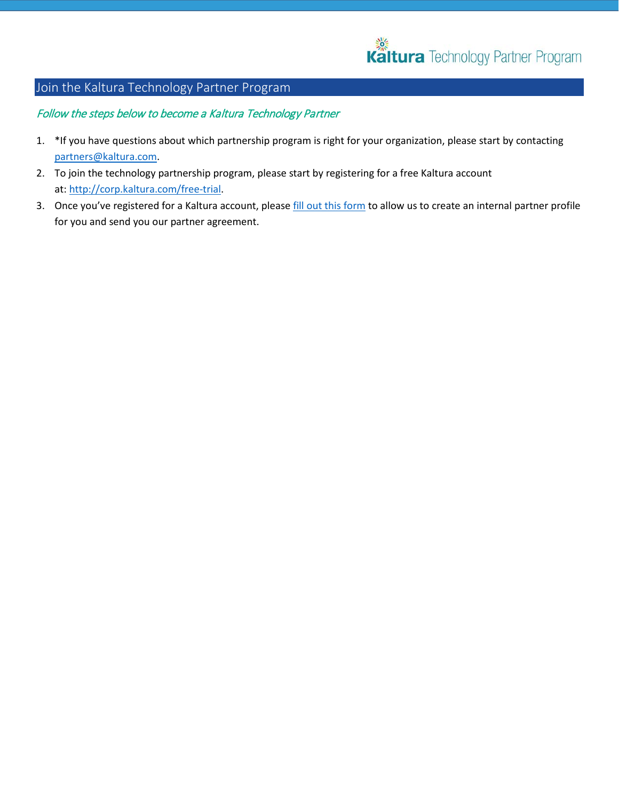

### Join the Kaltura Technology Partner Program

### Follow the steps below to become a Kaltura Technology Partner

- 1. \*If you have questions about which partnership program is right for your organization, please start by contacting [partners@kaltura.com.](mailto:partners@kaltura.com)
- 2. To join the technology partnership program, please start by registering for a free Kaltura account at: [http://corp.kaltura.com/free-trial.](http://corp.kaltura.com/free-trial)
- 3. Once you've registered for a Kaltura account, please [fill out this form](https://kalturacorp.wufoo.com/forms/technology-partner-profile/) to allow us to create an internal partner profile for you and send you our partner agreement.